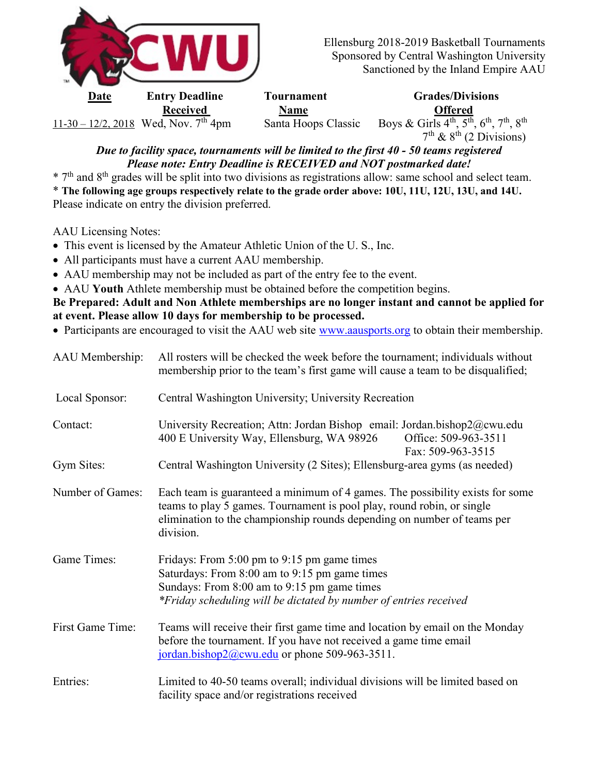

Date Entry Deadline Tournament Grades/Divisions Received Name Name Offered  $11-30-12/2$ , 2018 Wed, Nov.  $7^{\text{th}}$  4pm Santa Hoops Classic Boys & Girls  $4^{\text{th}}$ ,  $5^{\text{th}}$ ,  $6^{\text{th}}$ ,  $7^{\text{th}}$ ,  $8^{\text{th}}$  $7<sup>th</sup>$  &  $8<sup>th</sup>$  (2 Divisions)

## Due to facility space, tournaments will be limited to the first 40 - 50 teams registered Please note: Entry Deadline is RECEIVED and NOT postmarked date!

 $*$  7<sup>th</sup> and 8<sup>th</sup> grades will be split into two divisions as registrations allow: same school and select team.

\* The following age groups respectively relate to the grade order above: 10U, 11U, 12U, 13U, and 14U. Please indicate on entry the division preferred.

AAU Licensing Notes:

- This event is licensed by the Amateur Athletic Union of the U. S., Inc.
- All participants must have a current AAU membership.
- AAU membership may not be included as part of the entry fee to the event.
- AAU Youth Athlete membership must be obtained before the competition begins.

Be Prepared: Adult and Non Athlete memberships are no longer instant and cannot be applied for at event. Please allow 10 days for membership to be processed.

• Participants are encouraged to visit the AAU web site www.aausports.org to obtain their membership.

| AAU Membership:  | All rosters will be checked the week before the tournament; individuals without<br>membership prior to the team's first game will cause a team to be disqualified;                                                                              |  |  |
|------------------|-------------------------------------------------------------------------------------------------------------------------------------------------------------------------------------------------------------------------------------------------|--|--|
| Local Sponsor:   | Central Washington University; University Recreation                                                                                                                                                                                            |  |  |
| Contact:         | University Recreation; Attn: Jordan Bishop email: Jordan.bishop2@cwu.edu<br>Office: 509-963-3511<br>400 E University Way, Ellensburg, WA 98926<br>Fax: 509-963-3515                                                                             |  |  |
| Gym Sites:       | Central Washington University (2 Sites); Ellensburg-area gyms (as needed)                                                                                                                                                                       |  |  |
| Number of Games: | Each team is guaranteed a minimum of 4 games. The possibility exists for some<br>teams to play 5 games. Tournament is pool play, round robin, or single<br>elimination to the championship rounds depending on number of teams per<br>division. |  |  |
| Game Times:      | Fridays: From 5:00 pm to 9:15 pm game times<br>Saturdays: From 8:00 am to 9:15 pm game times<br>Sundays: From 8:00 am to 9:15 pm game times<br>*Friday scheduling will be dictated by number of entries received                                |  |  |
| First Game Time: | Teams will receive their first game time and location by email on the Monday<br>before the tournament. If you have not received a game time email<br>jordan.bishop2@cwu.edu or phone 509-963-3511.                                              |  |  |
| Entries:         | Limited to 40-50 teams overall; individual divisions will be limited based on<br>facility space and/or registrations received                                                                                                                   |  |  |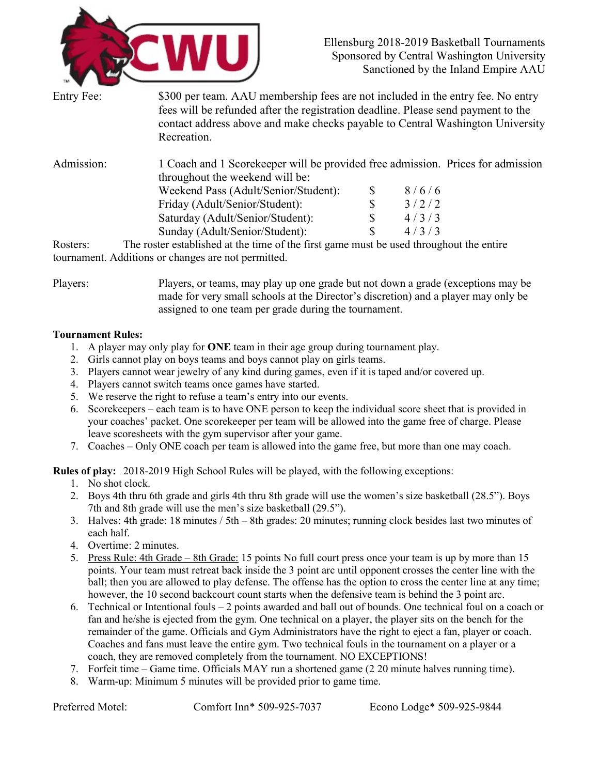

| Entry Fee: | \$300 per team. AAU membership fees are not included in the entry fee. No entry<br>fees will be refunded after the registration deadline. Please send payment to the<br>contact address above and make checks payable to Central Washington University<br>Recreation. |
|------------|-----------------------------------------------------------------------------------------------------------------------------------------------------------------------------------------------------------------------------------------------------------------------|
| Admission: | 1 Coach and 1 Scorekeeper will be provided free admission. Prices for admission                                                                                                                                                                                       |

| throughout the weekend will be:      |       |
|--------------------------------------|-------|
| Weekend Pass (Adult/Senior/Student): | 8/6/6 |
| Friday (Adult/Senior/Student):       | 3/2/2 |
| Saturday (Adult/Senior/Student):     | 4/3/3 |
| Sunday (Adult/Senior/Student):       | 4/3/3 |

Rosters: The roster established at the time of the first game must be used throughout the entire tournament. Additions or changes are not permitted.

Players: Players, or teams, may play up one grade but not down a grade (exceptions may be made for very small schools at the Director's discretion) and a player may only be assigned to one team per grade during the tournament.

## Tournament Rules:

- 1. A player may only play for ONE team in their age group during tournament play.
- 2. Girls cannot play on boys teams and boys cannot play on girls teams.
- 3. Players cannot wear jewelry of any kind during games, even if it is taped and/or covered up.
- 4. Players cannot switch teams once games have started.
- 5. We reserve the right to refuse a team's entry into our events.
- 6. Scorekeepers each team is to have ONE person to keep the individual score sheet that is provided in your coaches' packet. One scorekeeper per team will be allowed into the game free of charge. Please leave scoresheets with the gym supervisor after your game.
- 7. Coaches Only ONE coach per team is allowed into the game free, but more than one may coach.

Rules of play: 2018-2019 High School Rules will be played, with the following exceptions:

- 1. No shot clock.
- 2. Boys 4th thru 6th grade and girls 4th thru 8th grade will use the women's size basketball (28.5"). Boys 7th and 8th grade will use the men's size basketball (29.5").
- 3. Halves: 4th grade: 18 minutes / 5th 8th grades: 20 minutes; running clock besides last two minutes of each half.
- 4. Overtime: 2 minutes.
- 5. Press Rule: 4th Grade 8th Grade: 15 points No full court press once your team is up by more than 15 points. Your team must retreat back inside the 3 point arc until opponent crosses the center line with the ball; then you are allowed to play defense. The offense has the option to cross the center line at any time; however, the 10 second backcourt count starts when the defensive team is behind the 3 point arc.
- 6. Technical or Intentional fouls 2 points awarded and ball out of bounds. One technical foul on a coach or fan and he/she is ejected from the gym. One technical on a player, the player sits on the bench for the remainder of the game. Officials and Gym Administrators have the right to eject a fan, player or coach. Coaches and fans must leave the entire gym. Two technical fouls in the tournament on a player or a coach, they are removed completely from the tournament. NO EXCEPTIONS!
- 7. Forfeit time Game time. Officials MAY run a shortened game (2 20 minute halves running time).
- 8. Warm-up: Minimum 5 minutes will be provided prior to game time.

Preferred Motel: Comfort Inn\* 509-925-7037 Econo Lodge\* 509-925-9844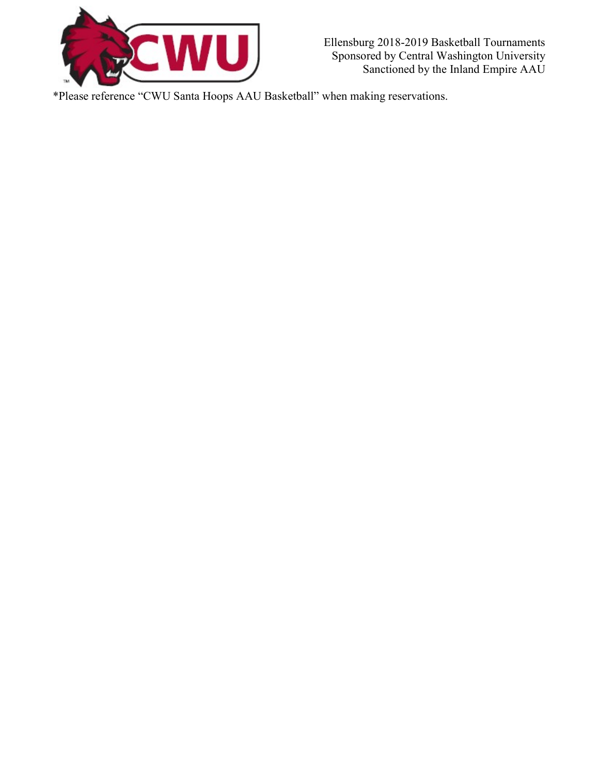

Ellensburg 2018-2019 Basketball Tournaments Sponsored by Central Washington University Sanctioned by the Inland Empire AAU

\*Please reference "CWU Santa Hoops AAU Basketball" when making reservations.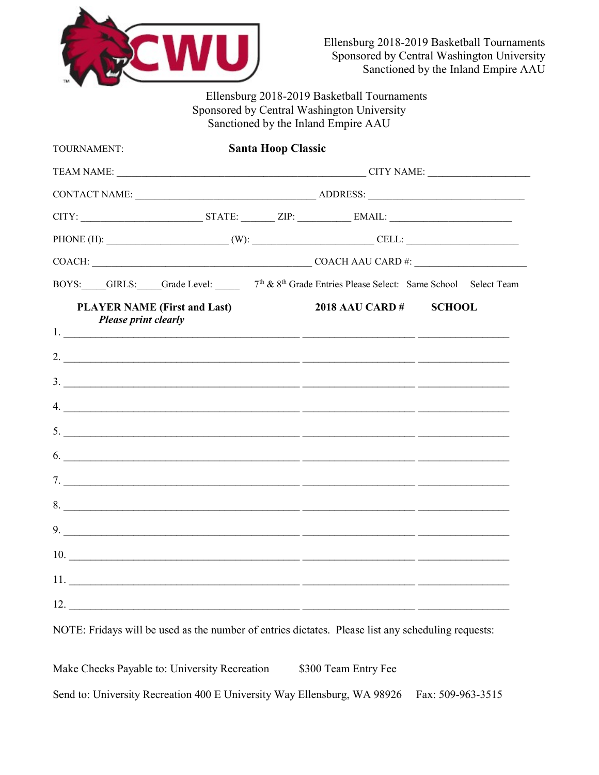

Ellensburg 2018-2019 Basketball Tournaments Sponsored by Central Washington University Sanctioned by the Inland Empire AAU

| TOURNAMENT:                                                        | <b>Santa Hoop Classic</b> |                                                                                                                  |               |  |  |
|--------------------------------------------------------------------|---------------------------|------------------------------------------------------------------------------------------------------------------|---------------|--|--|
|                                                                    |                           |                                                                                                                  |               |  |  |
|                                                                    |                           |                                                                                                                  |               |  |  |
|                                                                    |                           |                                                                                                                  |               |  |  |
|                                                                    |                           |                                                                                                                  |               |  |  |
|                                                                    |                           | COACH: COACH AAU CARD #:                                                                                         |               |  |  |
|                                                                    |                           | BOYS: GIRLS: Grade Level: 7 <sup>th</sup> & 8 <sup>th</sup> Grade Entries Please Select: Same School Select Team |               |  |  |
| <b>PLAYER NAME (First and Last)</b><br><b>Please print clearly</b> |                           | <b>2018 AAU CARD #</b>                                                                                           | <b>SCHOOL</b> |  |  |
|                                                                    |                           |                                                                                                                  |               |  |  |
|                                                                    |                           |                                                                                                                  |               |  |  |
|                                                                    |                           | $\mathcal{A}$ .                                                                                                  |               |  |  |
|                                                                    |                           |                                                                                                                  |               |  |  |
|                                                                    |                           | $\overline{6.}$                                                                                                  |               |  |  |
|                                                                    |                           |                                                                                                                  |               |  |  |
|                                                                    |                           |                                                                                                                  |               |  |  |
|                                                                    |                           | $9.$ $\overline{\phantom{a}}$                                                                                    |               |  |  |
|                                                                    |                           |                                                                                                                  |               |  |  |
|                                                                    |                           |                                                                                                                  |               |  |  |
|                                                                    |                           | $12.$ $\frac{12}{2}$                                                                                             |               |  |  |
|                                                                    |                           |                                                                                                                  |               |  |  |

NOTE: Fridays will be used as the number of entries dictates. Please list any scheduling requests:

Make Checks Payable to: University Recreation \$300 Team Entry Fee Send to: University Recreation 400 E University Way Ellensburg, WA 98926 Fax: 509-963-3515